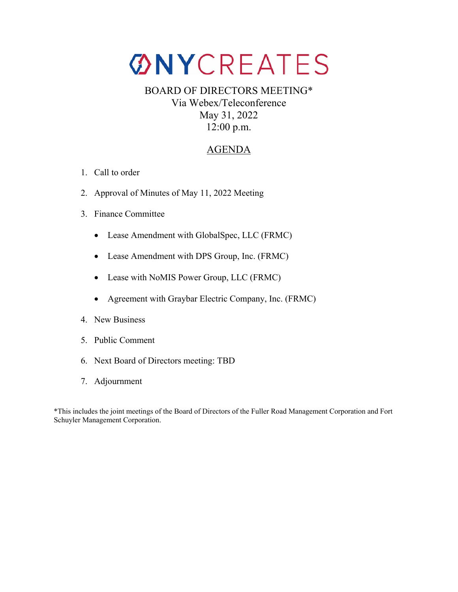# **ØNYCREATES**

# BOARD OF DIRECTORS MEETING\* Via Webex/Teleconference May 31, 2022 12:00 p.m.

## AGENDA

- 1. Call to order
- 2. Approval of Minutes of May 11, 2022 Meeting
- 3. Finance Committee
	- Lease Amendment with GlobalSpec, LLC (FRMC)
	- Lease Amendment with DPS Group, Inc. (FRMC)
	- Lease with NoMIS Power Group, LLC (FRMC)
	- Agreement with Graybar Electric Company, Inc. (FRMC)
- 4. New Business
- 5. Public Comment
- 6. Next Board of Directors meeting: TBD
- 7. Adjournment

\*This includes the joint meetings of the Board of Directors of the Fuller Road Management Corporation and Fort Schuyler Management Corporation.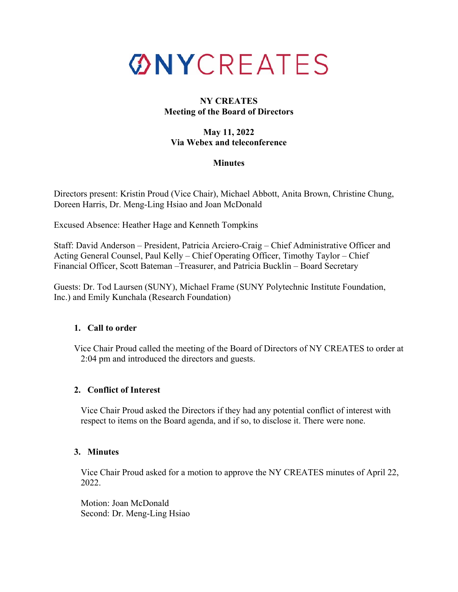

#### **NY CREATES Meeting of the Board of Directors**

#### **May 11, 2022 Via Webex and teleconference**

#### **Minutes**

Directors present: Kristin Proud (Vice Chair), Michael Abbott, Anita Brown, Christine Chung, Doreen Harris, Dr. Meng-Ling Hsiao and Joan McDonald

Excused Absence: Heather Hage and Kenneth Tompkins

Staff: David Anderson – President, Patricia Arciero-Craig – Chief Administrative Officer and Acting General Counsel, Paul Kelly – Chief Operating Officer, Timothy Taylor – Chief Financial Officer, Scott Bateman –Treasurer, and Patricia Bucklin – Board Secretary

Guests: Dr. Tod Laursen (SUNY), Michael Frame (SUNY Polytechnic Institute Foundation, Inc.) and Emily Kunchala (Research Foundation)

## **1. Call to order**

Vice Chair Proud called the meeting of the Board of Directors of NY CREATES to order at 2:04 pm and introduced the directors and guests.

## **2. Conflict of Interest**

Vice Chair Proud asked the Directors if they had any potential conflict of interest with respect to items on the Board agenda, and if so, to disclose it. There were none.

#### **3. Minutes**

Vice Chair Proud asked for a motion to approve the NY CREATES minutes of April 22, 2022.

Motion: Joan McDonald Second: Dr. Meng-Ling Hsiao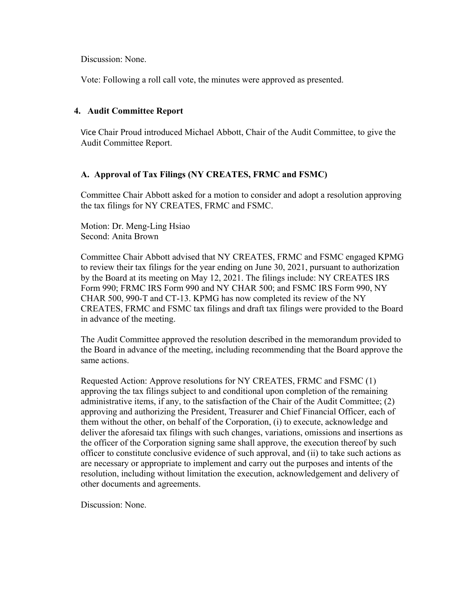Discussion: None.

Vote: Following a roll call vote, the minutes were approved as presented.

#### **4. Audit Committee Report**

Vice Chair Proud introduced Michael Abbott, Chair of the Audit Committee, to give the Audit Committee Report.

#### **A. Approval of Tax Filings (NY CREATES, FRMC and FSMC)**

Committee Chair Abbott asked for a motion to consider and adopt a resolution approving the tax filings for NY CREATES, FRMC and FSMC.

Motion: Dr. Meng-Ling Hsiao Second: Anita Brown

Committee Chair Abbott advised that NY CREATES, FRMC and FSMC engaged KPMG to review their tax filings for the year ending on June 30, 2021, pursuant to authorization by the Board at its meeting on May 12, 2021. The filings include: NY CREATES IRS Form 990; FRMC IRS Form 990 and NY CHAR 500; and FSMC IRS Form 990, NY CHAR 500, 990-T and CT-13. KPMG has now completed its review of the NY CREATES, FRMC and FSMC tax filings and draft tax filings were provided to the Board in advance of the meeting.

 The Audit Committee approved the resolution described in the memorandum provided to the Board in advance of the meeting, including recommending that the Board approve the same actions.

 Requested Action: Approve resolutions for NY CREATES, FRMC and FSMC (1) approving the tax filings subject to and conditional upon completion of the remaining administrative items, if any, to the satisfaction of the Chair of the Audit Committee; (2) approving and authorizing the President, Treasurer and Chief Financial Officer, each of them without the other, on behalf of the Corporation, (i) to execute, acknowledge and deliver the aforesaid tax filings with such changes, variations, omissions and insertions as the officer of the Corporation signing same shall approve, the execution thereof by such officer to constitute conclusive evidence of such approval, and (ii) to take such actions as are necessary or appropriate to implement and carry out the purposes and intents of the resolution, including without limitation the execution, acknowledgement and delivery of other documents and agreements.

Discussion: None.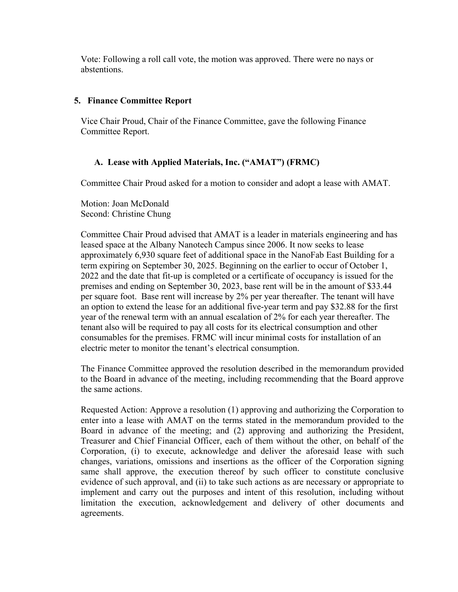Vote: Following a roll call vote, the motion was approved. There were no nays or abstentions.

#### **5. Finance Committee Report**

Vice Chair Proud, Chair of the Finance Committee, gave the following Finance Committee Report.

## **A. Lease with Applied Materials, Inc. ("AMAT") (FRMC)**

Committee Chair Proud asked for a motion to consider and adopt a lease with AMAT.

Motion: Joan McDonald Second: Christine Chung

Committee Chair Proud advised that AMAT is a leader in materials engineering and has leased space at the Albany Nanotech Campus since 2006. It now seeks to lease approximately 6,930 square feet of additional space in the NanoFab East Building for a term expiring on September 30, 2025. Beginning on the earlier to occur of October 1, 2022 and the date that fit-up is completed or a certificate of occupancy is issued for the premises and ending on September 30, 2023, base rent will be in the amount of \$33.44 per square foot. Base rent will increase by 2% per year thereafter. The tenant will have an option to extend the lease for an additional five-year term and pay \$32.88 for the first year of the renewal term with an annual escalation of 2% for each year thereafter. The tenant also will be required to pay all costs for its electrical consumption and other consumables for the premises. FRMC will incur minimal costs for installation of an electric meter to monitor the tenant's electrical consumption.

The Finance Committee approved the resolution described in the memorandum provided to the Board in advance of the meeting, including recommending that the Board approve the same actions.

Requested Action: Approve a resolution (1) approving and authorizing the Corporation to enter into a lease with AMAT on the terms stated in the memorandum provided to the Board in advance of the meeting; and (2) approving and authorizing the President, Treasurer and Chief Financial Officer, each of them without the other, on behalf of the Corporation, (i) to execute, acknowledge and deliver the aforesaid lease with such changes, variations, omissions and insertions as the officer of the Corporation signing same shall approve, the execution thereof by such officer to constitute conclusive evidence of such approval, and (ii) to take such actions as are necessary or appropriate to implement and carry out the purposes and intent of this resolution, including without limitation the execution, acknowledgement and delivery of other documents and agreements.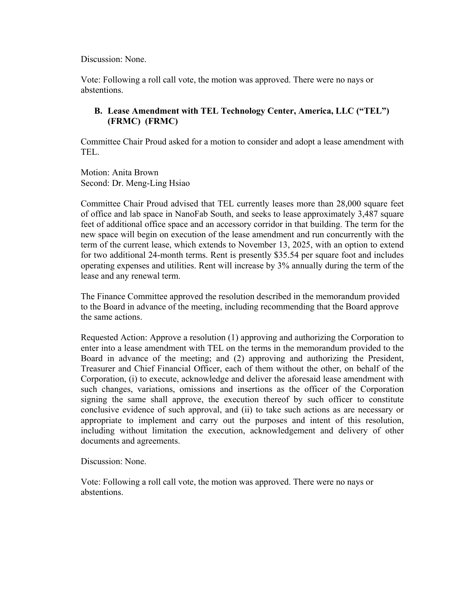Discussion: None.

Vote: Following a roll call vote, the motion was approved. There were no nays or abstentions.

## **B. Lease Amendment with TEL Technology Center, America, LLC ("TEL") (FRMC) (FRMC)**

Committee Chair Proud asked for a motion to consider and adopt a lease amendment with TEL.

Motion: Anita Brown Second: Dr. Meng-Ling Hsiao

Committee Chair Proud advised that TEL currently leases more than 28,000 square feet of office and lab space in NanoFab South, and seeks to lease approximately 3,487 square feet of additional office space and an accessory corridor in that building. The term for the new space will begin on execution of the lease amendment and run concurrently with the term of the current lease, which extends to November 13, 2025, with an option to extend for two additional 24-month terms. Rent is presently \$35.54 per square foot and includes operating expenses and utilities. Rent will increase by 3% annually during the term of the lease and any renewal term.

The Finance Committee approved the resolution described in the memorandum provided to the Board in advance of the meeting, including recommending that the Board approve the same actions.

Requested Action: Approve a resolution (1) approving and authorizing the Corporation to enter into a lease amendment with TEL on the terms in the memorandum provided to the Board in advance of the meeting; and (2) approving and authorizing the President, Treasurer and Chief Financial Officer, each of them without the other, on behalf of the Corporation, (i) to execute, acknowledge and deliver the aforesaid lease amendment with such changes, variations, omissions and insertions as the officer of the Corporation signing the same shall approve, the execution thereof by such officer to constitute conclusive evidence of such approval, and (ii) to take such actions as are necessary or appropriate to implement and carry out the purposes and intent of this resolution, including without limitation the execution, acknowledgement and delivery of other documents and agreements.

Discussion: None.

Vote: Following a roll call vote, the motion was approved. There were no nays or abstentions.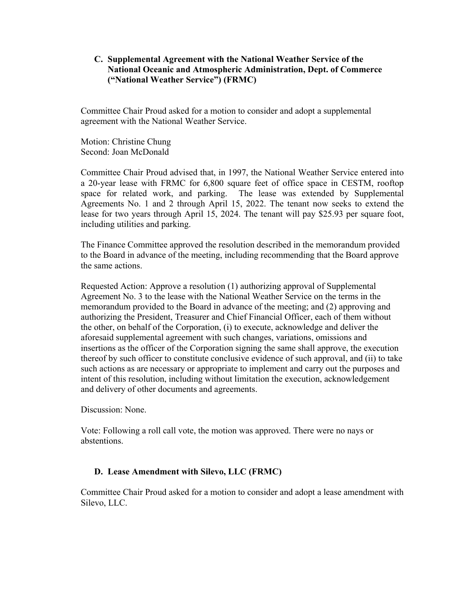#### **C. Supplemental Agreement with the National Weather Service of the National Oceanic and Atmospheric Administration, Dept. of Commerce ("National Weather Service") (FRMC)**

Committee Chair Proud asked for a motion to consider and adopt a supplemental agreement with the National Weather Service.

Motion: Christine Chung Second: Joan McDonald

Committee Chair Proud advised that, in 1997, the National Weather Service entered into a 20-year lease with FRMC for 6,800 square feet of office space in CESTM, rooftop space for related work, and parking. The lease was extended by Supplemental Agreements No. 1 and 2 through April 15, 2022. The tenant now seeks to extend the lease for two years through April 15, 2024. The tenant will pay \$25.93 per square foot, including utilities and parking.

The Finance Committee approved the resolution described in the memorandum provided to the Board in advance of the meeting, including recommending that the Board approve the same actions.

Requested Action: Approve a resolution (1) authorizing approval of Supplemental Agreement No. 3 to the lease with the National Weather Service on the terms in the memorandum provided to the Board in advance of the meeting; and (2) approving and authorizing the President, Treasurer and Chief Financial Officer, each of them without the other, on behalf of the Corporation, (i) to execute, acknowledge and deliver the aforesaid supplemental agreement with such changes, variations, omissions and insertions as the officer of the Corporation signing the same shall approve, the execution thereof by such officer to constitute conclusive evidence of such approval, and (ii) to take such actions as are necessary or appropriate to implement and carry out the purposes and intent of this resolution, including without limitation the execution, acknowledgement and delivery of other documents and agreements.

Discussion: None.

Vote: Following a roll call vote, the motion was approved. There were no nays or abstentions.

## **D. Lease Amendment with Silevo, LLC (FRMC)**

Committee Chair Proud asked for a motion to consider and adopt a lease amendment with Silevo, LLC.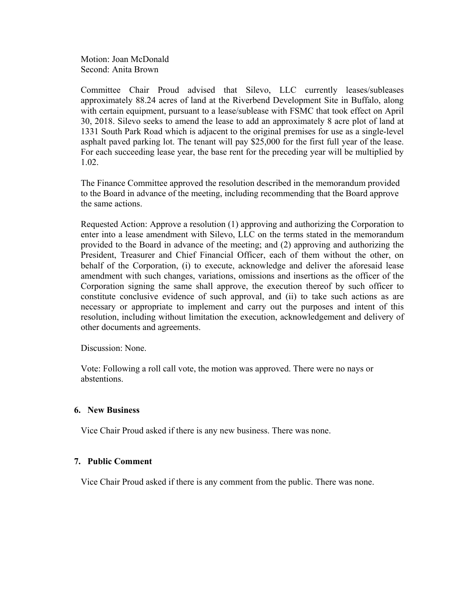Motion: Joan McDonald Second: Anita Brown

Committee Chair Proud advised that Silevo, LLC currently leases/subleases approximately 88.24 acres of land at the Riverbend Development Site in Buffalo, along with certain equipment, pursuant to a lease/sublease with FSMC that took effect on April 30, 2018. Silevo seeks to amend the lease to add an approximately 8 acre plot of land at 1331 South Park Road which is adjacent to the original premises for use as a single-level asphalt paved parking lot. The tenant will pay \$25,000 for the first full year of the lease. For each succeeding lease year, the base rent for the preceding year will be multiplied by 1.02.

The Finance Committee approved the resolution described in the memorandum provided to the Board in advance of the meeting, including recommending that the Board approve the same actions.

Requested Action: Approve a resolution (1) approving and authorizing the Corporation to enter into a lease amendment with Silevo, LLC on the terms stated in the memorandum provided to the Board in advance of the meeting; and (2) approving and authorizing the President, Treasurer and Chief Financial Officer, each of them without the other, on behalf of the Corporation, (i) to execute, acknowledge and deliver the aforesaid lease amendment with such changes, variations, omissions and insertions as the officer of the Corporation signing the same shall approve, the execution thereof by such officer to constitute conclusive evidence of such approval, and (ii) to take such actions as are necessary or appropriate to implement and carry out the purposes and intent of this resolution, including without limitation the execution, acknowledgement and delivery of other documents and agreements.

Discussion: None.

 Vote: Following a roll call vote, the motion was approved. There were no nays or abstentions.

#### **6. New Business**

Vice Chair Proud asked if there is any new business. There was none.

#### **7. Public Comment**

Vice Chair Proud asked if there is any comment from the public. There was none.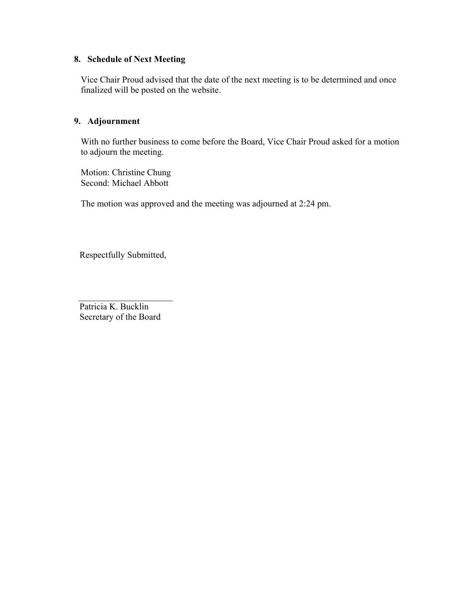## **8. Schedule of Next Meeting**

Vice Chair Proud advised that the date of the next meeting is to be determined and once finalized will be posted on the website.

## **9. Adjournment**

With no further business to come before the Board, Vice Chair Proud asked for a motion to adjourn the meeting.

 Motion: Christine Chung Second: Michael Abbott

The motion was approved and the meeting was adjourned at 2:24 pm.

Respectfully Submitted,

 \_\_\_\_\_\_\_\_\_\_\_\_\_\_\_\_\_\_\_\_\_ Patricia K. Bucklin Secretary of the Board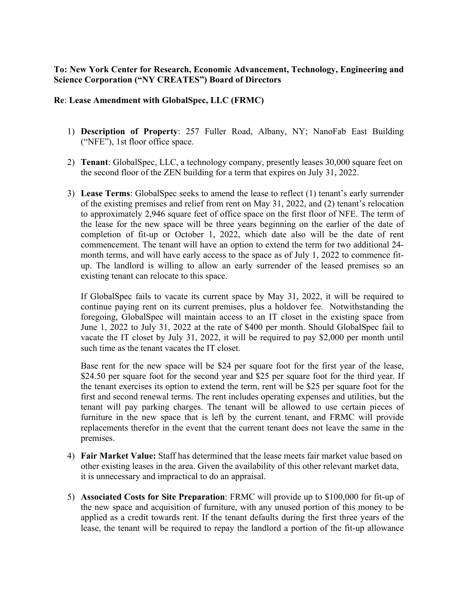## **To: New York Center for Research, Economic Advancement, Technology, Engineering and Science Corporation ("NY CREATES") Board of Directors**

#### **Re**: **Lease Amendment with GlobalSpec, LLC (FRMC)**

- 1) **Description of Property**: 257 Fuller Road, Albany, NY; NanoFab East Building ("NFE"), 1st floor office space.
- 2) **Tenant**: GlobalSpec, LLC, a technology company, presently leases 30,000 square feet on the second floor of the ZEN building for a term that expires on July 31, 2022.
- 3) **Lease Terms**: GlobalSpec seeks to amend the lease to reflect (1) tenant's early surrender of the existing premises and relief from rent on May 31, 2022, and (2) tenant's relocation to approximately 2,946 square feet of office space on the first floor of NFE. The term of the lease for the new space will be three years beginning on the earlier of the date of completion of fit-up or October 1, 2022, which date also will be the date of rent commencement. The tenant will have an option to extend the term for two additional 24 month terms, and will have early access to the space as of July 1, 2022 to commence fitup. The landlord is willing to allow an early surrender of the leased premises so an existing tenant can relocate to this space.

If GlobalSpec fails to vacate its current space by May 31, 2022, it will be required to continue paying rent on its current premises, plus a holdover fee. Notwithstanding the foregoing, GlobalSpec will maintain access to an IT closet in the existing space from June 1, 2022 to July 31, 2022 at the rate of \$400 per month. Should GlobalSpec fail to vacate the IT closet by July 31, 2022, it will be required to pay \$2,000 per month until such time as the tenant vacates the IT closet.

 Base rent for the new space will be \$24 per square foot for the first year of the lease, \$24.50 per square foot for the second year and \$25 per square foot for the third year. If the tenant exercises its option to extend the term, rent will be \$25 per square foot for the first and second renewal terms. The rent includes operating expenses and utilities, but the tenant will pay parking charges. The tenant will be allowed to use certain pieces of furniture in the new space that is left by the current tenant, and FRMC will provide replacements therefor in the event that the current tenant does not leave the same in the premises.

- 4) **Fair Market Value:** Staff has determined that the lease meets fair market value based on other existing leases in the area. Given the availability of this other relevant market data, it is unnecessary and impractical to do an appraisal.
- 5) **Associated Costs for Site Preparation**: FRMC will provide up to \$100,000 for fit-up of the new space and acquisition of furniture, with any unused portion of this money to be applied as a credit towards rent. If the tenant defaults during the first three years of the lease, the tenant will be required to repay the landlord a portion of the fit-up allowance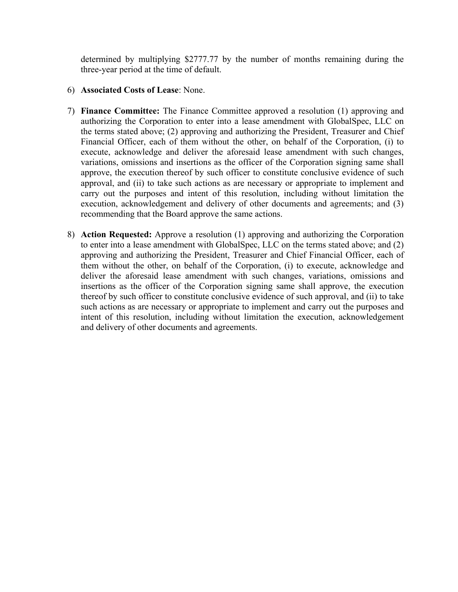determined by multiplying \$2777.77 by the number of months remaining during the three-year period at the time of default.

- 6) **Associated Costs of Lease**: None.
- 7) **Finance Committee:** The Finance Committee approved a resolution (1) approving and authorizing the Corporation to enter into a lease amendment with GlobalSpec, LLC on the terms stated above; (2) approving and authorizing the President, Treasurer and Chief Financial Officer, each of them without the other, on behalf of the Corporation, (i) to execute, acknowledge and deliver the aforesaid lease amendment with such changes, variations, omissions and insertions as the officer of the Corporation signing same shall approve, the execution thereof by such officer to constitute conclusive evidence of such approval, and (ii) to take such actions as are necessary or appropriate to implement and carry out the purposes and intent of this resolution, including without limitation the execution, acknowledgement and delivery of other documents and agreements; and (3) recommending that the Board approve the same actions.
- 8) **Action Requested:** Approve a resolution (1) approving and authorizing the Corporation to enter into a lease amendment with GlobalSpec, LLC on the terms stated above; and (2) approving and authorizing the President, Treasurer and Chief Financial Officer, each of them without the other, on behalf of the Corporation, (i) to execute, acknowledge and deliver the aforesaid lease amendment with such changes, variations, omissions and insertions as the officer of the Corporation signing same shall approve, the execution thereof by such officer to constitute conclusive evidence of such approval, and (ii) to take such actions as are necessary or appropriate to implement and carry out the purposes and intent of this resolution, including without limitation the execution, acknowledgement and delivery of other documents and agreements.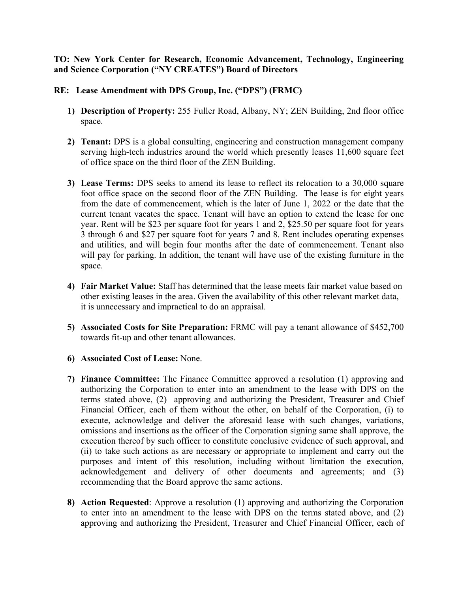#### **TO: New York Center for Research, Economic Advancement, Technology, Engineering and Science Corporation ("NY CREATES") Board of Directors**

#### **RE: Lease Amendment with DPS Group, Inc. ("DPS") (FRMC)**

- **1) Description of Property:** 255 Fuller Road, Albany, NY; ZEN Building, 2nd floor office space.
- **2) Tenant:** DPS is a global consulting, engineering and construction management company serving high-tech industries around the world which presently leases 11,600 square feet of office space on the third floor of the ZEN Building.
- **3) Lease Terms:** DPS seeks to amend its lease to reflect its relocation to a 30,000 square foot office space on the second floor of the ZEN Building. The lease is for eight years from the date of commencement, which is the later of June 1, 2022 or the date that the current tenant vacates the space. Tenant will have an option to extend the lease for one year. Rent will be \$23 per square foot for years 1 and 2, \$25.50 per square foot for years 3 through 6 and \$27 per square foot for years 7 and 8. Rent includes operating expenses and utilities, and will begin four months after the date of commencement. Tenant also will pay for parking. In addition, the tenant will have use of the existing furniture in the space.
- **4) Fair Market Value:** Staff has determined that the lease meets fair market value based on other existing leases in the area. Given the availability of this other relevant market data, it is unnecessary and impractical to do an appraisal.
- **5) Associated Costs for Site Preparation:** FRMC will pay a tenant allowance of \$452,700 towards fit-up and other tenant allowances.
- **6) Associated Cost of Lease:** None.
- **7) Finance Committee:** The Finance Committee approved a resolution (1) approving and authorizing the Corporation to enter into an amendment to the lease with DPS on the terms stated above, (2) approving and authorizing the President, Treasurer and Chief Financial Officer, each of them without the other, on behalf of the Corporation, (i) to execute, acknowledge and deliver the aforesaid lease with such changes, variations, omissions and insertions as the officer of the Corporation signing same shall approve, the execution thereof by such officer to constitute conclusive evidence of such approval, and (ii) to take such actions as are necessary or appropriate to implement and carry out the purposes and intent of this resolution, including without limitation the execution, acknowledgement and delivery of other documents and agreements; and (3) recommending that the Board approve the same actions.
- **8) Action Requested**: Approve a resolution (1) approving and authorizing the Corporation to enter into an amendment to the lease with DPS on the terms stated above, and (2) approving and authorizing the President, Treasurer and Chief Financial Officer, each of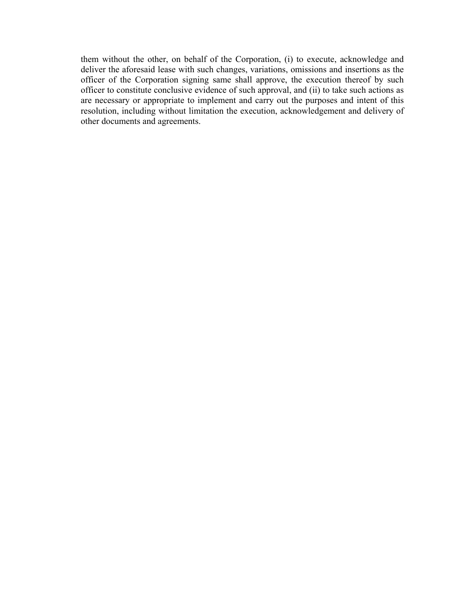them without the other, on behalf of the Corporation, (i) to execute, acknowledge and deliver the aforesaid lease with such changes, variations, omissions and insertions as the officer of the Corporation signing same shall approve, the execution thereof by such officer to constitute conclusive evidence of such approval, and (ii) to take such actions as are necessary or appropriate to implement and carry out the purposes and intent of this resolution, including without limitation the execution, acknowledgement and delivery of other documents and agreements.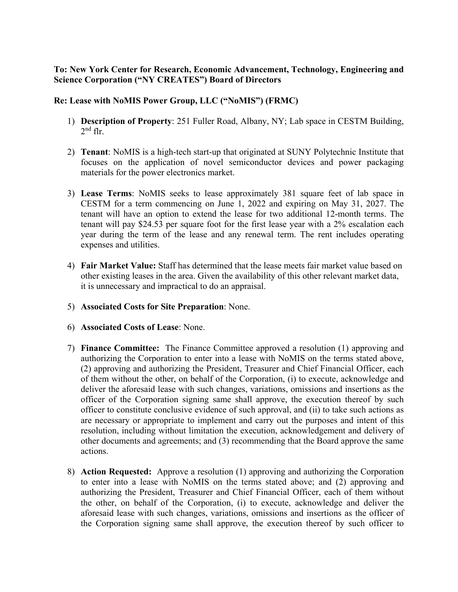## **To: New York Center for Research, Economic Advancement, Technology, Engineering and Science Corporation ("NY CREATES") Board of Directors**

## **Re: Lease with NoMIS Power Group, LLC ("NoMIS") (FRMC)**

- 1) **Description of Property**: 251 Fuller Road, Albany, NY; Lab space in CESTM Building,  $2<sup>nd</sup>$  flr.
- 2) **Tenant**: NoMIS is a high-tech start-up that originated at SUNY Polytechnic Institute that focuses on the application of novel semiconductor devices and power packaging materials for the power electronics market.
- 3) **Lease Terms**: NoMIS seeks to lease approximately 381 square feet of lab space in CESTM for a term commencing on June 1, 2022 and expiring on May 31, 2027. The tenant will have an option to extend the lease for two additional 12-month terms. The tenant will pay \$24.53 per square foot for the first lease year with a 2% escalation each year during the term of the lease and any renewal term. The rent includes operating expenses and utilities.
- 4) **Fair Market Value:** Staff has determined that the lease meets fair market value based on other existing leases in the area. Given the availability of this other relevant market data, it is unnecessary and impractical to do an appraisal.
- 5) **Associated Costs for Site Preparation**: None.
- 6) **Associated Costs of Lease**: None.
- 7) **Finance Committee:** The Finance Committee approved a resolution (1) approving and authorizing the Corporation to enter into a lease with NoMIS on the terms stated above, (2) approving and authorizing the President, Treasurer and Chief Financial Officer, each of them without the other, on behalf of the Corporation, (i) to execute, acknowledge and deliver the aforesaid lease with such changes, variations, omissions and insertions as the officer of the Corporation signing same shall approve, the execution thereof by such officer to constitute conclusive evidence of such approval, and (ii) to take such actions as are necessary or appropriate to implement and carry out the purposes and intent of this resolution, including without limitation the execution, acknowledgement and delivery of other documents and agreements; and (3) recommending that the Board approve the same actions.
- 8) **Action Requested:** Approve a resolution (1) approving and authorizing the Corporation to enter into a lease with NoMIS on the terms stated above; and (2) approving and authorizing the President, Treasurer and Chief Financial Officer, each of them without the other, on behalf of the Corporation, (i) to execute, acknowledge and deliver the aforesaid lease with such changes, variations, omissions and insertions as the officer of the Corporation signing same shall approve, the execution thereof by such officer to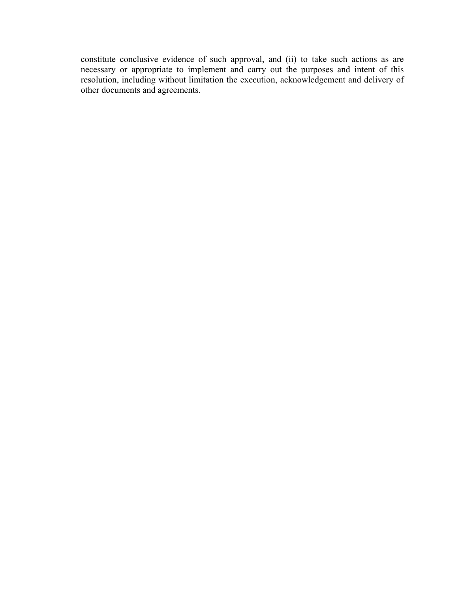constitute conclusive evidence of such approval, and (ii) to take such actions as are necessary or appropriate to implement and carry out the purposes and intent of this resolution, including without limitation the execution, acknowledgement and delivery of other documents and agreements.